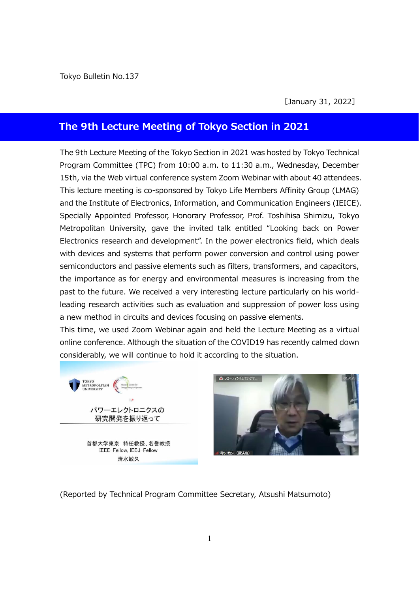Tokyo Bulletin No.137

[January 31, 2022]

## **The 9th Lecture Meeting of Tokyo Section in 2021**

The 9th Lecture Meeting of the Tokyo Section in 2021 was hosted by Tokyo Technical Program Committee (TPC) from 10:00 a.m. to 11:30 a.m., Wednesday, December 15th, via the Web virtual conference system Zoom Webinar with about 40 attendees. This lecture meeting is co-sponsored by Tokyo Life Members Affinity Group (LMAG) and the Institute of Electronics, Information, and Communication Engineers (IEICE). Specially Appointed Professor, Honorary Professor, Prof. Toshihisa Shimizu, Tokyo Metropolitan University, gave the invited talk entitled "Looking back on Power Electronics research and development". In the power electronics field, which deals with devices and systems that perform power conversion and control using power semiconductors and passive elements such as filters, transformers, and capacitors, the importance as for energy and environmental measures is increasing from the past to the future. We received a very interesting lecture particularly on his worldleading research activities such as evaluation and suppression of power loss using a new method in circuits and devices focusing on passive elements.

This time, we used Zoom Webinar again and held the Lecture Meeting as a virtual online conference. Although the situation of the COVID19 has recently calmed down considerably, we will continue to hold it according to the situation.

TOKYO<br>METROPOLITAN<br>UNIVERSITY パワーエレクトロニクスの 研究開発を振り返って

> 首都大学東京 特任教授、名誉教授 IEEE-Fellow, IEEJ-Fellow 清水敏久



(Reported by Technical Program Committee Secretary, Atsushi Matsumoto)